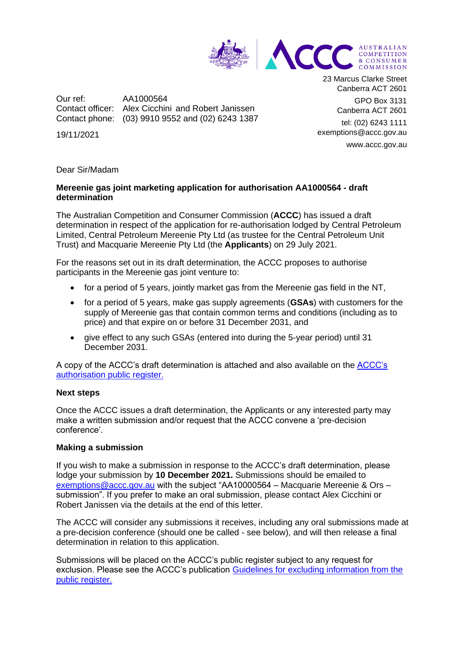

Our ref: AA1000564 Contact officer: Alex Cicchini and Robert Janissen Contact phone: (03) 9910 9552 and (02) 6243 1387

19/11/2021

23 Marcus Clarke Street Canberra ACT 2601

GPO Box 3131 Canberra ACT 2601

tel: (02) 6243 1111 exemptions@accc.gov.au www.accc.gov.au

#### Dear Sir/Madam

## **Mereenie gas joint marketing application for authorisation AA1000564 - draft determination**

The Australian Competition and Consumer Commission (**ACCC**) has issued a draft determination in respect of the application for re-authorisation lodged by Central Petroleum Limited, Central Petroleum Mereenie Pty Ltd (as trustee for the Central Petroleum Unit Trust) and Macquarie Mereenie Pty Ltd (the **Applicants**) on 29 July 2021.

For the reasons set out in its draft determination, the ACCC proposes to authorise participants in the Mereenie gas joint venture to:

- for a period of 5 years, jointly market gas from the Mereenie gas field in the NT,
- for a period of 5 years, make gas supply agreements (**GSAs**) with customers for the supply of Mereenie gas that contain common terms and conditions (including as to price) and that expire on or before 31 December 2031, and
- give effect to any such GSAs (entered into during the 5-year period) until 31 December 2031.

A copy of the ACCC's draft determination is attached and also available on the [ACCC's](https://www.accc.gov.au/public-registers/authorisations-and-notifications-registers/authorisations-register/macquarie-mereenie-ors)  [authorisation public register.](https://www.accc.gov.au/public-registers/authorisations-and-notifications-registers/authorisations-register/macquarie-mereenie-ors)

### **Next steps**

Once the ACCC issues a draft determination, the Applicants or any interested party may make a written submission and/or request that the ACCC convene a 'pre-decision conference'.

### **Making a submission**

If you wish to make a submission in response to the ACCC's draft determination, please lodge your submission by **10 December 2021.** Submissions should be emailed to [exemptions@accc.gov.au](mailto:exemptions@accc.gov.au) with the subject "AA10000564 – Macquarie Mereenie & Ors – submission". If you prefer to make an oral submission, please contact Alex Cicchini or Robert Janissen via the details at the end of this letter.

The ACCC will consider any submissions it receives, including any oral submissions made at a pre-decision conference (should one be called - see below), and will then release a final determination in relation to this application.

Submissions will be placed on the ACCC's public register subject to any request for exclusion. Please see the ACCC's publication [Guidelines for excluding information from the](https://www.accc.gov.au/publications/guidelines-for-excluding-confidential-information-from-the-public-register-for-authorisation-and-notification-processes)  [public register.](https://www.accc.gov.au/publications/guidelines-for-excluding-confidential-information-from-the-public-register-for-authorisation-and-notification-processes)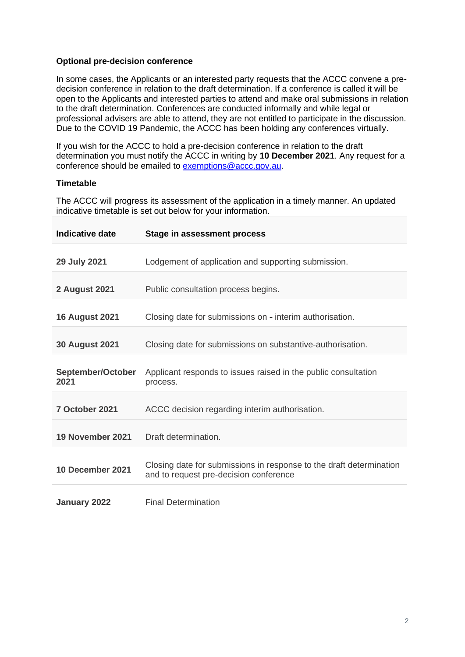## **Optional pre-decision conference**

In some cases, the Applicants or an interested party requests that the ACCC convene a predecision conference in relation to the draft determination. If a conference is called it will be open to the Applicants and interested parties to attend and make oral submissions in relation to the draft determination. Conferences are conducted informally and while legal or professional advisers are able to attend, they are not entitled to participate in the discussion. Due to the COVID 19 Pandemic, the ACCC has been holding any conferences virtually.

If you wish for the ACCC to hold a pre-decision conference in relation to the draft determination you must notify the ACCC in writing by **10 December 2021**. Any request for a conference should be emailed to [exemptions@accc.gov.au.](mailto:exemptions@accc.gov.au)

# **Timetable**

The ACCC will progress its assessment of the application in a timely manner. An updated indicative timetable is set out below for your information.

| <b>Indicative date</b>    | Stage in assessment process                                                                                   |
|---------------------------|---------------------------------------------------------------------------------------------------------------|
| 29 July 2021              | Lodgement of application and supporting submission.                                                           |
| <b>2 August 2021</b>      | Public consultation process begins.                                                                           |
| <b>16 August 2021</b>     | Closing date for submissions on - interim authorisation.                                                      |
| <b>30 August 2021</b>     | Closing date for submissions on substantive-authorisation.                                                    |
| September/October<br>2021 | Applicant responds to issues raised in the public consultation<br>process.                                    |
| 7 October 2021            | ACCC decision regarding interim authorisation.                                                                |
| 19 November 2021          | Draft determination.                                                                                          |
| 10 December 2021          | Closing date for submissions in response to the draft determination<br>and to request pre-decision conference |
| January 2022              | <b>Final Determination</b>                                                                                    |